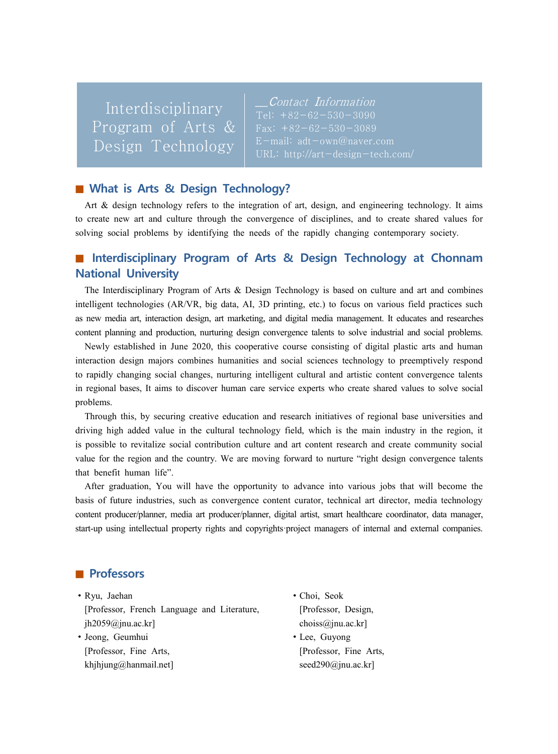Interdisciplinary Program of Arts & Design Technology

\_\_Contact Information Fax:  $+82-62-530-3089$ 

# ■ What is Arts & Design Technology?

 Art & design technology refers to the integration of art, design, and engineering technology. It aims to create new art and culture through the convergence of disciplines, and to create shared values for solving social problems by identifying the needs of the rapidly changing contemporary society.

# ■ Interdisciplinary Program of Arts & Design Technology at Chonnam **National University**

 The Interdisciplinary Program of Arts & Design Technology is based on culture and art and combines intelligent technologies (AR/VR, big data, AI, 3D printing, etc.) to focus on various field practices such as new media art, interaction design, art marketing, and digital media management. It educates and researches content planning and production, nurturing design convergence talents to solve industrial and social problems.

 Newly established in June 2020, this cooperative course consisting of digital plastic arts and human interaction design majors combines humanities and social sciences technology to preemptively respond to rapidly changing social changes, nurturing intelligent cultural and artistic content convergence talents in regional bases, It aims to discover human care service experts who create shared values to solve social problems.

 Through this, by securing creative education and research initiatives of regional base universities and driving high added value in the cultural technology field, which is the main industry in the region, it is possible to revitalize social contribution culture and art content research and create community social value for the region and the country. We are moving forward to nurture "right design convergence talents that benefit human life".

 After graduation, You will have the opportunity to advance into various jobs that will become the basis of future industries, such as convergence content curator, technical art director, media technology content producer/planner, media art producer/planner, digital artist, smart healthcare coordinator, data manager, start-up using intellectual property rights and copyrights·project managers of internal and external companies.

# ■ **Professors**

- ∙Ryu, Jaehan [Professor, French Language and Literature, jh2059@jnu.ac.kr]
- ∙Jeong, Geumhui [Professor, Fine Arts, khjhjung@hanmail.net]

∙Choi, Seok [Professor, Design, choiss@jnu.ac.kr] ∙Lee, Guyong [Professor, Fine Arts, seed290@jnu.ac.kr]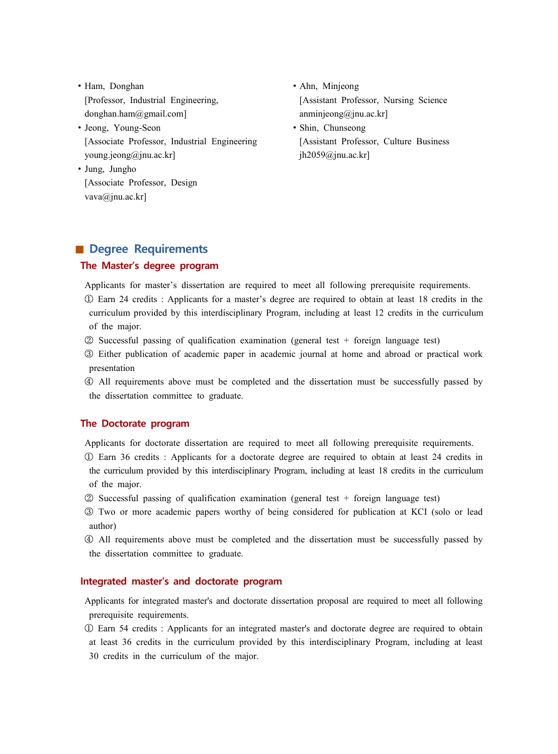- ∙Ham, Donghan [Professor, Industrial Engineering, donghan.ham@gmail.com]
- ∙Jeong, Young-Seon [Associate Professor, Industrial Engineering young.jeong@jnu.ac.kr]
- ∙Jung, Jungho [Associate Professor, Design vava@jnu.ac.kr]
- ∙Ahn, Minjeong [Assistant Professor, Nursing Science anminjeong@jnu.ac.kr]
- ∙Shin, Chunseong [Assistant Professor, Culture Business jh2059@jnu.ac.kr]

# ■ **Degree Requirements**

## **The Master's degree program**

Applicants for master's dissertation are required to meet all following prerequisite requirements.

- ① Earn 24 credits : Applicants for a master's degree are required to obtain at least 18 credits in the curriculum provided by this interdisciplinary Program, including at least 12 credits in the curriculum of the major.
- $\oslash$  Successful passing of qualification examination (general test + foreign language test)
- ③ Either publication of academic paper in academic journal at home and abroad or practical work presentation
- ④ All requirements above must be completed and the dissertation must be successfully passed by the dissertation committee to graduate.

## **The Doctorate program**

Applicants for doctorate dissertation are required to meet all following prerequisite requirements.

- ① Earn 36 credits : Applicants for a doctorate degree are required to obtain at least 24 credits in the curriculum provided by this interdisciplinary Program, including at least 18 credits in the curriculum of the major.
- ② Successful passing of qualification examination (general test + foreign language test)
- ③ Two or more academic papers worthy of being considered for publication at KCI (solo or lead author)
- ④ All requirements above must be completed and the dissertation must be successfully passed by the dissertation committee to graduate.

#### **Integrated master's and doctorate program**

- Applicants for integrated master's and doctorate dissertation proposal are required to meet all following prerequisite requirements.
- ① Earn 54 credits : Applicants for an integrated master's and doctorate degree are required to obtain at least 36 credits in the curriculum provided by this interdisciplinary Program, including at least 30 credits in the curriculum of the major.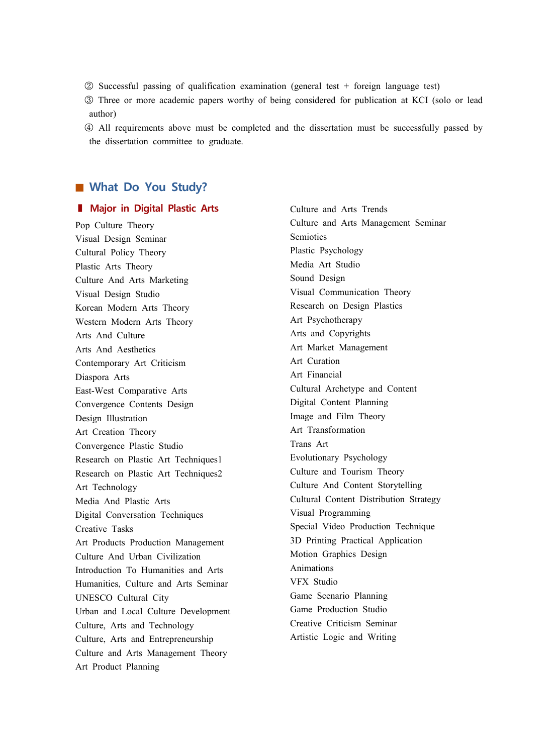- ② Successful passing of qualification examination (general test + foreign language test)
- ③ Three or more academic papers worthy of being considered for publication at KCI (solo or lead author)

 ④ All requirements above must be completed and the dissertation must be successfully passed by the dissertation committee to graduate.

# ■ What Do You Study?

#### **▮ Major in Digital Plastic Arts**

Pop Culture Theory Visual Design Seminar Cultural Policy Theory Plastic Arts Theory Culture And Arts Marketing Visual Design Studio Korean Modern Arts Theory Western Modern Arts Theory Arts And Culture Arts And Aesthetics Contemporary Art Criticism Diaspora Arts East-West Comparative Arts Convergence Contents Design Design Illustration Art Creation Theory Convergence Plastic Studio Research on Plastic Art Techniques1 Research on Plastic Art Techniques2 Art Technology Media And Plastic Arts Digital Conversation Techniques Creative Tasks Art Products Production Management Culture And Urban Civilization Introduction To Humanities and Arts Humanities, Culture and Arts Seminar UNESCO Cultural City Urban and Local Culture Development Culture, Arts and Technology Culture, Arts and Entrepreneurship Culture and Arts Management Theory Art Product Planning

Culture and Arts Trends Culture and Arts Management Seminar Semiotics Plastic Psychology Media Art Studio Sound Design Visual Communication Theory Research on Design Plastics Art Psychotherapy Arts and Copyrights Art Market Management Art Curation Art Financial Cultural Archetype and Content Digital Content Planning Image and Film Theory Art Transformation Trans Art Evolutionary Psychology Culture and Tourism Theory Culture And Content Storytelling Cultural Content Distribution Strategy Visual Programming Special Video Production Technique 3D Printing Practical Application Motion Graphics Design Animations VFX Studio Game Scenario Planning Game Production Studio Creative Criticism Seminar Artistic Logic and Writing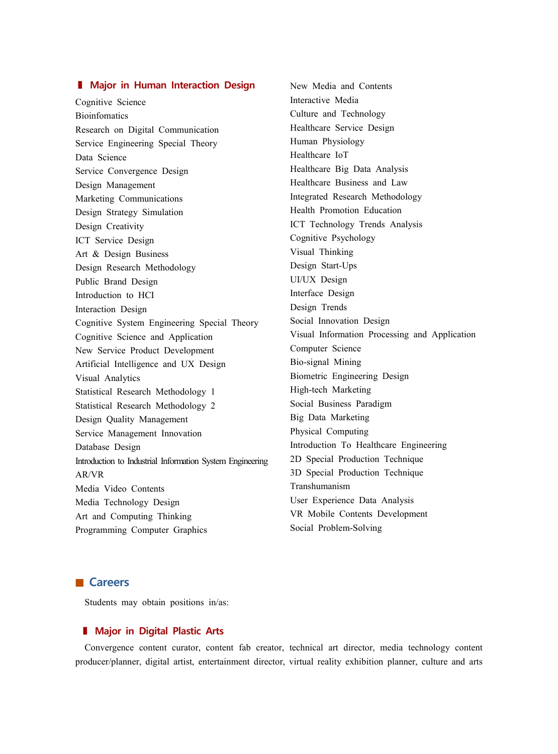# **▮ Major in Human Interaction Design**

Cognitive Science **Bioinfomatics** Research on Digital Communication Service Engineering Special Theory Data Science Service Convergence Design Design Management Marketing Communications Design Strategy Simulation Design Creativity ICT Service Design Art & Design Business Design Research Methodology Public Brand Design Introduction to HCI Interaction Design Cognitive System Engineering Special Theory Cognitive Science and Application New Service Product Development Artificial Intelligence and UX Design Visual Analytics Statistical Research Methodology 1 Statistical Research Methodology 2 Design Quality Management Service Management Innovation Database Design Introduction to Industrial Information System Engineering AR/VR Media Video Contents Media Technology Design Art and Computing Thinking Programming Computer Graphics

New Media and Contents Interactive Media Culture and Technology Healthcare Service Design Human Physiology Healthcare IoT Healthcare Big Data Analysis Healthcare Business and Law Integrated Research Methodology Health Promotion Education ICT Technology Trends Analysis Cognitive Psychology Visual Thinking Design Start-Ups UI/UX Design Interface Design Design Trends Social Innovation Design Visual Information Processing and Application Computer Science Bio-signal Mining Biometric Engineering Design High-tech Marketing Social Business Paradigm Big Data Marketing Physical Computing Introduction To Healthcare Engineering 2D Special Production Technique 3D Special Production Technique Transhumanism User Experience Data Analysis VR Mobile Contents Development Social Problem-Solving

#### ■ **Careers**

Students may obtain positions in/as:

#### **▮ Major in Digital Plastic Arts**

 Convergence content curator, content fab creator, technical art director, media technology content producer/planner, digital artist, entertainment director, virtual reality exhibition planner, culture and arts